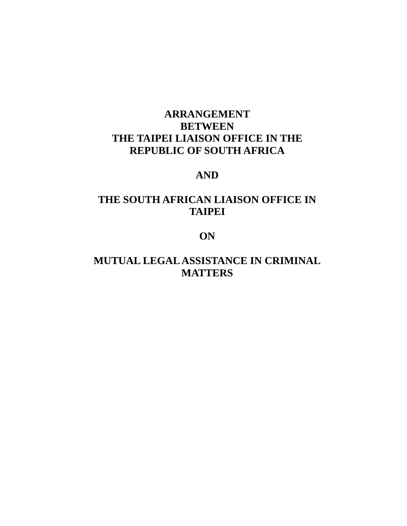# **ARRANGEMENT BETWEEN THE TAIPEI LIAISON OFFICE IN THE REPUBLIC OF SOUTH AFRICA**

## **AND**

# **THE SOUTH AFRICAN LIAISON OFFICE IN TAIPEI**

## **ON**

# **MUTUAL LEGAL ASSISTANCE IN CRIMINAL MATTERS**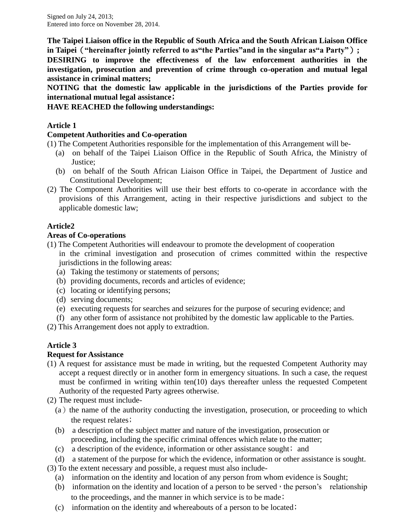Signed on July 24, 2013; Entered into force on November 28, 2014.

**The Taipei Liaison office in the Republic of South Africa and the South African Liaison Office in Taipei**(**"hereinafter jointly referred to as"the Parties"and in the singular as"a Party"**)**;**

**DESIRING to improve the effectiveness of the law enforcement authorities in the investigation, prosecution and prevention of crime through co-operation and mutual legal assistance in criminal matters;**

**NOTING that the domestic law applicable in the jurisdictions of the Parties provide for international mutual legal assistance**;

## **HAVE REACHED the following understandings:**

## **Article 1**

## **Competent Authorities and Co-operation**

(1) The Competent Authorities responsible for the implementation of this Arrangement will be-

- (a) on behalf of the Taipei Liaison Office in the Republic of South Africa, the Ministry of Justice;
- (b) on behalf of the South African Liaison Office in Taipei, the Department of Justice and Constitutional Development;
- (2) The Component Authorities will use their best efforts to co-operate in accordance with the provisions of this Arrangement, acting in their respective jurisdictions and subject to the applicable domestic law;

## **Article2**

### **Areas of Co-operations**

- (1) The Competent Authorities will endeavour to promote the development of cooperation in the criminal investigation and prosecution of crimes committed within the respective jurisdictions in the following areas:
	- (a) Taking the testimony or statements of persons;
	- (b) providing documents, records and articles of evidence;
	- (c) locating or identifying persons;
	- (d) serving documents;
	- (e) executing requests for searches and seizures for the purpose of securing evidence; and
	- (f) any other form of assistance not prohibited by the domestic law applicable to the Parties.

(2) This Arrangement does not apply to extradtion.

## **Article 3**

## **Request for Assistance**

- (1) A request for assistance must be made in writing, but the requested Competent Authority may accept a request directly or in another form in emergency situations. In such a case, the request must be confirmed in writing within ten(10) days thereafter unless the requested Competent Authority of the requested Party agrees otherwise.
- (2) The request must include-
	- $(a)$  the name of the authority conducting the investigation, prosecution, or proceeding to which the request relates;
	- (b) a description of the subject matter and nature of the investigation, prosecution or proceeding, including the specific criminal offences which relate to the matter;
	- (c) a description of the evidence, information or other assistance sought; and
- (d) a statement of the purpose for which the evidence, information or other assistance is sought.
- (3) To the extent necessary and possible, a request must also include-
	- (a) information on the identity and location of any person from whom evidence is Sought;
	- (b) information on the identity and location of a person to be served, the person's relationship to the proceedings, and the manner in which service is to be made;
	- (c) information on the identity and whereabouts of a person to be located;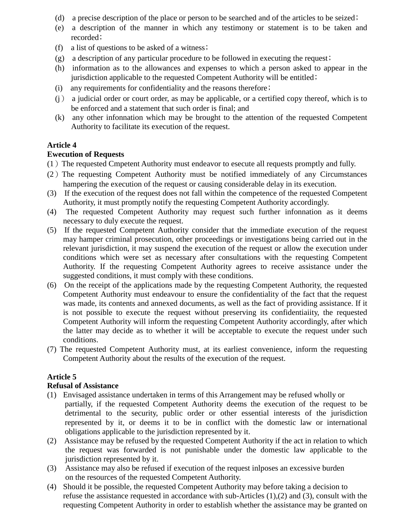- (d) a precise description of the place or person to be searched and of the articles to be seized;
- (e) a description of the manner in which any testimony or statement is to be taken and recorded:
- (f) a list of questions to be asked of a witness;
- (g) a description of any particular procedure to be followed in executing the request;
- (h) information as to the allowances and expenses to which a person asked to appear in the jurisdiction applicable to the requested Competent Authority will be entitled;
- $(i)$  any requirements for confidentiality and the reasons therefore;
- (j) a judicial order or court order, as may be applicable, or a certified copy thereof, which is to be enforced and a statement that such order is final; and
- (k) any other infonnation which may be brought to the attention of the requested Competent Authority to facilitate its execution of the request.

## **Article 4**

## **Ewecution of Requests**

- (1)The requested Cmpetent Authority must endeavor to esecute all requests promptly and fully.
- (2)The requesting Competent Authority must be notified immediately of any Circumstances hampering the execution of the request or causing considerable delay in its execution.
- (3) If the execution of the request does not fall within the competence of the requested Competent Authority, it must promptly notify the requesting Competent Authority accordingly.
- (4) The requested Competent Authority may request such further infonnation as it deems necessary to duly execute the request.
- (5) If the requested Competent Authority consider that the immediate execution of the request may hamper criminal prosecution, other proceedings or investigations being carried out in the relevant jurisdiction, it may suspend the execution of the request or allow the execution under conditions which were set as necessary after consultations with the requesting Competent Authority. If the requesting Competent Authority agrees to receive assistance under the suggested conditions, it must comply with these conditions.
- (6) On the receipt of the applications made by the requesting Competent Authority, the requested Competent Authority must endeavour to ensure the confidentiality of the fact that the request was made, its contents and annexed documents, as well as the fact of providing assistance. If it is not possible to execute the request without preserving its confidentiaiity, the requested Competent Authority will inform the requesting Competent Authority accordingly, after which the latter may decide as to whether it will be acceptable to execute the request under such conditions.
- (7) The requested Competent Authority must, at its earliest convenience, inform the requesting Competent Authority about the results of the execution of the request.

## **Article 5**

### **Refusal of Assistance**

- (1) Envisaged assistance undertaken in terms of this Arrangement may be refused wholly or partially, if the requested Competent Authority deems the execution of the request to be detrimental to the security, public order or other essential interests of the jurisdiction represented by it, or deems it to be in conflict with the domestic law or international obligations applicable to the jurisdiction represented by it.
- (2) Assistance may be refused by the requested Competent Authority if the act in relation to which the request was forwarded is not punishable under the domestic law applicable to the jurisdiction represented by it.
- (3) Assistance may also be refused if execution of the request inlposes an excessive burden on the resources of the requested Competent Authority.
- (4) Should it be possible, the requested Competent Authority may before taking a decision to refuse the assistance requested in accordance with sub-Articles (1),(2) and (3), consult with the requesting Competent Authority in order to establish whether the assistance may be granted on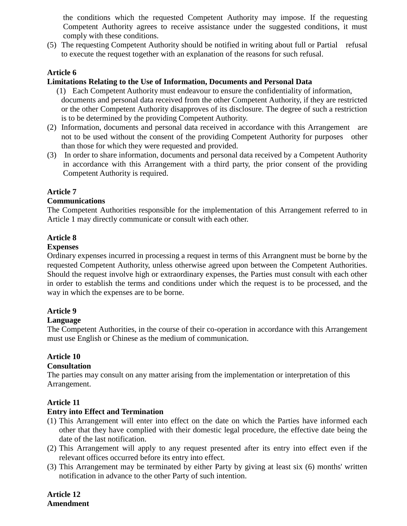the conditions which the requested Competent Authority may impose. If the requesting Competent Authority agrees to receive assistance under the suggested conditions, it must comply with these conditions.

(5) The requesting Competent Authority should be notified in writing about full or Partial refusal to execute the request together with an explanation of the reasons for such refusal.

### **Article 6**

#### **Limitations Relating to the Use of Information, Documents and Personal Data**

- (1) Each Competent Authority must endeavour to ensure the confidentiality of information, documents and personal data received from the other Competent Authority, if they are restricted or the other Competent Authority disapproves of its disclosure. The degree of such a restriction is to be determined by the providing Competent Authority.
- (2) Information, documents and personal data received in accordance with this Arrangement are not to be used without the consent of the providing Competent Authority for purposes other than those for which they were requested and provided.
- (3) In order to share information, documents and personal data received by a Competent Authority in accordance with this Arrangement with a third party, the prior consent of the providing Competent Authority is required.

#### **Article 7**

#### **Communications**

The Competent Authorities responsible for the implementation of this Arrangement referred to in Article 1 may directly communicate or consult with each other.

#### **Article 8**

#### **Expenses**

Ordinary expenses incurred in processing a request in terms of this Arrangnent must be borne by the requested Competent Authority, unless otherwise agreed upon between the Competent Authorities. Should the request involve high or extraordinary expenses, the Parties must consult with each other in order to establish the terms and conditions under which the request is to be processed, and the way in which the expenses are to be borne.

#### **Article 9**

#### **Language**

The Competent Authorities, in the course of their co-operation in accordance with this Arrangement must use English or Chinese as the medium of communication.

#### **Article 10**

#### **Consultation**

The parties may consult on any matter arising from the implementation or interpretation of this Arrangement.

#### **Article 11**

#### **Entry into Effect and Termination**

- (1) This Arrangement will enter into effect on the date on which the Parties have informed each other that they have complied with their domestic legal procedure, the effective date being the date of the last notification.
- (2) This Arrangement will apply to any request presented after its entry into effect even if the relevant offices occurred before its entry into effect.
- (3) This Arrangement may be terminated by either Party by giving at least six (6) months' written notification in advance to the other Party of such intention.

**Article 12 Amendment**